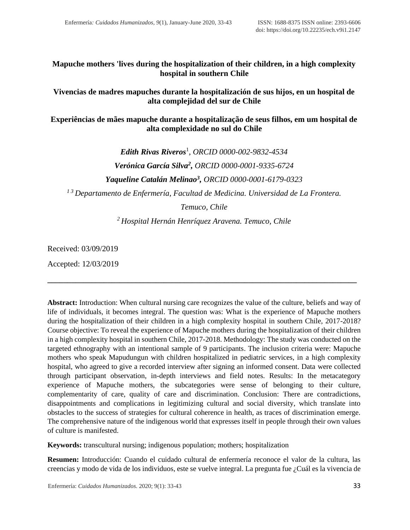**Mapuche mothers 'lives during the hospitalization of their children, in a high complexity hospital in southern Chile**

**Vivencias de madres mapuches durante la hospitalización de sus hijos, en un hospital de alta complejidad del sur de Chile**

**Experiências de mães mapuche durante a hospitalização de seus filhos, em um hospital de alta complexidade no sul do Chile**

*Edith Rivas Riveros*<sup>1</sup> , *ORCID [0000-002-9832-4534](https://orcid.org/0000-0002-9832-4534) Verónica García Silva<sup>2</sup> , ORCID [0000-0001-9335-6724](https://orcid.org/0000-0001-9335-6724) Yaqueline Catalán Melinao<sup>3</sup> , ORCID [0000-0001-6179-0323](https://orcid.org/0000-0001-6179-0323) 1 3 Departamento de Enfermería, Facultad de Medicina. Universidad de La Frontera. Temuco, Chile*

*<sup>2</sup> Hospital Hernán Henríquez Aravena. Temuco, Chile*

**\_\_\_\_\_\_\_\_\_\_\_\_\_\_\_\_\_\_\_\_\_\_\_\_\_\_\_\_\_\_\_\_\_\_\_\_\_\_\_\_\_\_\_\_\_\_\_\_\_\_\_\_\_\_\_\_\_\_\_\_\_\_\_\_\_\_\_\_\_\_\_\_\_\_\_\_\_**

Received: 03/09/2019

Accepted: 12/03/2019

**Abstract:** Introduction: When cultural nursing care recognizes the value of the culture, beliefs and way of life of individuals, it becomes integral. The question was: What is the experience of Mapuche mothers during the hospitalization of their children in a high complexity hospital in southern Chile, 2017-2018? Course objective: To reveal the experience of Mapuche mothers during the hospitalization of their children in a high complexity hospital in southern Chile, 2017-2018. Methodology: The study was conducted on the targeted ethnography with an intentional sample of 9 participants. The inclusion criteria were: Mapuche mothers who speak Mapudungun with children hospitalized in pediatric services, in a high complexity hospital, who agreed to give a recorded interview after signing an informed consent. Data were collected through participant observation, in-depth interviews and field notes. Results: In the metacategory experience of Mapuche mothers, the subcategories were sense of belonging to their culture, complementarity of care, quality of care and discrimination. Conclusion: There are contradictions, disappointments and complications in legitimizing cultural and social diversity, which translate into obstacles to the success of strategies for cultural coherence in health, as traces of discrimination emerge. The comprehensive nature of the indigenous world that expresses itself in people through their own values of culture is manifested.

**Keywords:** transcultural nursing; indigenous population; mothers; hospitalization

**Resumen:** Introducción: Cuando el cuidado cultural de enfermería reconoce el valor de la cultura, las creencias y modo de vida de los individuos, este se vuelve integral. La pregunta fue ¿Cuál es la vivencia de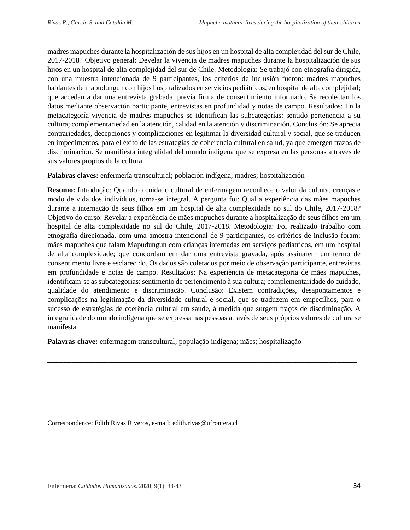madres mapuches durante la hospitalización de sus hijos en un hospital de alta complejidad del sur de Chile, 2017-2018? Objetivo general: Develar la vivencia de madres mapuches durante la hospitalización de sus hijos en un hospital de alta complejidad del sur de Chile. Metodología: Se trabajó con etnografía dirigida, con una muestra intencionada de 9 participantes, los criterios de inclusión fueron: madres mapuches hablantes de mapudungun con hijos hospitalizados en servicios pediátricos, en hospital de alta complejidad; que accedan a dar una entrevista grabada, previa firma de consentimiento informado. Se recolectan los datos mediante observación participante, entrevistas en profundidad y notas de campo. Resultados: En la metacategoría vivencia de madres mapuches se identifican las subcategorías: sentido pertenencia a su cultura; complementariedad en la atención, calidad en la atención y discriminación. Conclusión: Se aprecia contrariedades, decepciones y complicaciones en legitimar la diversidad cultural y social, que se traducen en impedimentos, para el éxito de las estrategias de coherencia cultural en salud, ya que emergen trazos de discriminación. Se manifiesta integralidad del mundo indígena que se expresa en las personas a través de sus valores propios de la cultura.

**Palabras claves:** enfermería transcultural; población indígena; madres; hospitalización

**Resumo:** Introdução: Quando o cuidado cultural de enfermagem reconhece o valor da cultura, crenças e modo de vida dos indivíduos, torna-se integral. A pergunta foi: Qual a experiência das mães mapuches durante a internação de seus filhos em um hospital de alta complexidade no sul do Chile, 2017-2018? Objetivo do curso: Revelar a experiência de mães mapuches durante a hospitalização de seus filhos em um hospital de alta complexidade no sul do Chile, 2017-2018. Metodologia: Foi realizado trabalho com etnografia direcionada, com uma amostra intencional de 9 participantes, os critérios de inclusão foram: mães mapuches que falam Mapudungun com crianças internadas em serviços pediátricos, em um hospital de alta complexidade; que concordam em dar uma entrevista gravada, após assinarem um termo de consentimento livre e esclarecido. Os dados são coletados por meio de observação participante, entrevistas em profundidade e notas de campo. Resultados: Na experiência de metacategoria de mães mapuches, identificam-se as subcategorias: sentimento de pertencimento à sua cultura; complementaridade do cuidado, qualidade do atendimento e discriminação. Conclusão: Existem contradições, desapontamentos e complicações na legitimação da diversidade cultural e social, que se traduzem em empecilhos, para o sucesso de estratégias de coerência cultural em saúde, à medida que surgem traços de discriminação. A integralidade do mundo indígena que se expressa nas pessoas através de seus próprios valores de cultura se manifesta.

**\_\_\_\_\_\_\_\_\_\_\_\_\_\_\_\_\_\_\_\_\_\_\_\_\_\_\_\_\_\_\_\_\_\_\_\_\_\_\_\_\_\_\_\_\_\_\_\_\_\_\_\_\_\_\_\_\_\_\_\_\_\_\_\_\_\_\_\_\_\_\_\_\_\_\_\_\_**

**Palavras-chave:** enfermagem transcultural; população indígena; mães; hospitalização

Correspondence: Edith Rivas Riveros, e-mail: edith.rivas@ufrontera.cl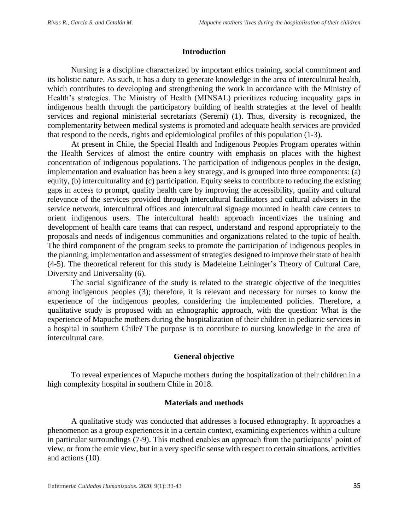## **Introduction**

Nursing is a discipline characterized by important ethics training, social commitment and its holistic nature. As such, it has a duty to generate knowledge in the area of intercultural health, which contributes to developing and strengthening the work in accordance with the Ministry of Health's strategies. The Ministry of Health (MINSAL) prioritizes reducing inequality gaps in indigenous health through the participatory building of health strategies at the level of health services and regional ministerial secretariats (Seremi) (1). Thus, diversity is recognized, the complementarity between medical systems is promoted and adequate health services are provided that respond to the needs, rights and epidemiological profiles of this population (1-3).

At present in Chile, the Special Health and Indigenous Peoples Program operates within the Health Services of almost the entire country with emphasis on places with the highest concentration of indigenous populations. The participation of indigenous peoples in the design, implementation and evaluation has been a key strategy, and is grouped into three components: (a) equity, (b) interculturality and (c) participation. Equity seeks to contribute to reducing the existing gaps in access to prompt, quality health care by improving the accessibility, quality and cultural relevance of the services provided through intercultural facilitators and cultural advisers in the service network, intercultural offices and intercultural signage mounted in health care centers to orient indigenous users. The intercultural health approach incentivizes the training and development of health care teams that can respect, understand and respond appropriately to the proposals and needs of indigenous communities and organizations related to the topic of health. The third component of the program seeks to promote the participation of indigenous peoples in the planning, implementation and assessment of strategies designed to improve their state of health (4-5). The theoretical referent for this study is Madeleine Leininger's Theory of Cultural Care, Diversity and Universality (6).

The social significance of the study is related to the strategic objective of the inequities among indigenous peoples (3); therefore, it is relevant and necessary for nurses to know the experience of the indigenous peoples, considering the implemented policies. Therefore, a qualitative study is proposed with an ethnographic approach, with the question: What is the experience of Mapuche mothers during the hospitalization of their children in pediatric services in a hospital in southern Chile? The purpose is to contribute to nursing knowledge in the area of intercultural care.

## **General objective**

To reveal experiences of Mapuche mothers during the hospitalization of their children in a high complexity hospital in southern Chile in 2018.

## **Materials and methods**

A qualitative study was conducted that addresses a focused ethnography. It approaches a phenomenon as a group experiences it in a certain context, examining experiences within a culture in particular surroundings (7-9). This method enables an approach from the participants' point of view, or from the emic view, but in a very specific sense with respect to certain situations, activities and actions (10).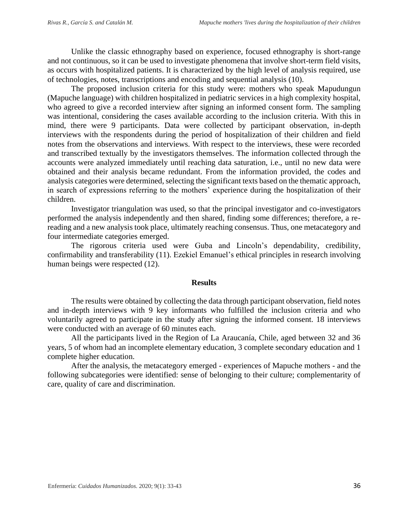Unlike the classic ethnography based on experience, focused ethnography is short-range and not continuous, so it can be used to investigate phenomena that involve short-term field visits, as occurs with hospitalized patients. It is characterized by the high level of analysis required, use of technologies, notes, transcriptions and encoding and sequential analysis (10).

The proposed inclusion criteria for this study were: mothers who speak Mapudungun (Mapuche language) with children hospitalized in pediatric services in a high complexity hospital, who agreed to give a recorded interview after signing an informed consent form. The sampling was intentional, considering the cases available according to the inclusion criteria. With this in mind, there were 9 participants. Data were collected by participant observation, in-depth interviews with the respondents during the period of hospitalization of their children and field notes from the observations and interviews. With respect to the interviews, these were recorded and transcribed textually by the investigators themselves. The information collected through the accounts were analyzed immediately until reaching data saturation, i.e., until no new data were obtained and their analysis became redundant. From the information provided, the codes and analysis categories were determined, selecting the significant texts based on the thematic approach, in search of expressions referring to the mothers' experience during the hospitalization of their children.

Investigator triangulation was used, so that the principal investigator and co-investigators performed the analysis independently and then shared, finding some differences; therefore, a rereading and a new analysis took place, ultimately reaching consensus. Thus, one metacategory and four intermediate categories emerged.

The rigorous criteria used were Guba and Lincoln's dependability, credibility, confirmability and transferability (11). Ezekiel Emanuel's ethical principles in research involving human beings were respected (12).

#### **Results**

The results were obtained by collecting the data through participant observation, field notes and in-depth interviews with 9 key informants who fulfilled the inclusion criteria and who voluntarily agreed to participate in the study after signing the informed consent. 18 interviews were conducted with an average of 60 minutes each.

All the participants lived in the Region of La Araucanía, Chile, aged between 32 and 36 years, 5 of whom had an incomplete elementary education, 3 complete secondary education and 1 complete higher education.

After the analysis, the metacategory emerged - experiences of Mapuche mothers - and the following subcategories were identified: sense of belonging to their culture; complementarity of care, quality of care and discrimination.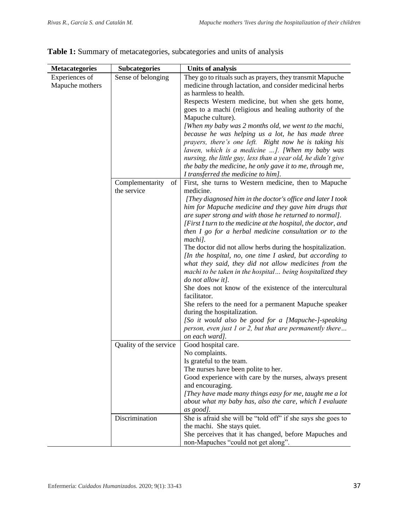| <b>Metacategories</b> | <b>Subcategories</b>   | <b>Units of analysis</b>                                       |  |  |  |  |
|-----------------------|------------------------|----------------------------------------------------------------|--|--|--|--|
| Experiences of        | Sense of belonging     | They go to rituals such as prayers, they transmit Mapuche      |  |  |  |  |
| Mapuche mothers       |                        | medicine through lactation, and consider medicinal herbs       |  |  |  |  |
|                       |                        | as harmless to health.                                         |  |  |  |  |
|                       |                        | Respects Western medicine, but when she gets home,             |  |  |  |  |
|                       |                        | goes to a machi (religious and healing authority of the        |  |  |  |  |
|                       |                        | Mapuche culture).                                              |  |  |  |  |
|                       |                        | [When my baby was 2 months old, we went to the machi,          |  |  |  |  |
|                       |                        | because he was helping us a lot, he has made three             |  |  |  |  |
|                       |                        | prayers, there's one left. Right now he is taking his          |  |  |  |  |
|                       |                        | lawen, which is a medicine ]. [When my baby was                |  |  |  |  |
|                       |                        | nursing, the little guy, less than a year old, he didn't give  |  |  |  |  |
|                       |                        | the baby the medicine, he only gave it to me, through me,      |  |  |  |  |
|                       |                        | I transferred the medicine to him].                            |  |  |  |  |
|                       | Complementarity<br>of  | First, she turns to Western medicine, then to Mapuche          |  |  |  |  |
|                       | the service            | medicine.                                                      |  |  |  |  |
|                       |                        | [They diagnosed him in the doctor's office and later I took    |  |  |  |  |
|                       |                        | him for Mapuche medicine and they gave him drugs that          |  |  |  |  |
|                       |                        | are super strong and with those he returned to normal].        |  |  |  |  |
|                       |                        | [First I turn to the medicine at the hospital, the doctor, and |  |  |  |  |
|                       |                        | then I go for a herbal medicine consultation or to the         |  |  |  |  |
|                       |                        | machi].                                                        |  |  |  |  |
|                       |                        | The doctor did not allow herbs during the hospitalization.     |  |  |  |  |
|                       |                        | [In the hospital, no, one time I asked, but according to       |  |  |  |  |
|                       |                        | what they said, they did not allow medicines from the          |  |  |  |  |
|                       |                        | machi to be taken in the hospital being hospitalized they      |  |  |  |  |
|                       |                        | do not allow it].                                              |  |  |  |  |
|                       |                        | She does not know of the existence of the intercultural        |  |  |  |  |
|                       |                        | facilitator.                                                   |  |  |  |  |
|                       |                        | She refers to the need for a permanent Mapuche speaker         |  |  |  |  |
|                       |                        | during the hospitalization.                                    |  |  |  |  |
|                       |                        | [So it would also be good for a [Mapuche-]-speaking            |  |  |  |  |
|                       |                        | person, even just 1 or 2, but that are permanently there       |  |  |  |  |
|                       |                        | on each ward].                                                 |  |  |  |  |
|                       | Quality of the service | Good hospital care.                                            |  |  |  |  |
|                       |                        | No complaints.<br>Is grateful to the team.                     |  |  |  |  |
|                       |                        | The nurses have been polite to her.                            |  |  |  |  |
|                       |                        | Good experience with care by the nurses, always present        |  |  |  |  |
|                       |                        | and encouraging.                                               |  |  |  |  |
|                       |                        | [They have made many things easy for me, taught me a lot       |  |  |  |  |
|                       |                        | about what my baby has, also the care, which I evaluate        |  |  |  |  |
|                       |                        | as good].                                                      |  |  |  |  |
|                       | Discrimination         | She is afraid she will be "told off" if she says she goes to   |  |  |  |  |
|                       |                        | the machi. She stays quiet.                                    |  |  |  |  |
|                       |                        | She perceives that it has changed, before Mapuches and         |  |  |  |  |
|                       |                        | non-Mapuches "could not get along".                            |  |  |  |  |

|  |  | Table 1: Summary of metacategories, subcategories and units of analysis |  |  |  |
|--|--|-------------------------------------------------------------------------|--|--|--|
|  |  |                                                                         |  |  |  |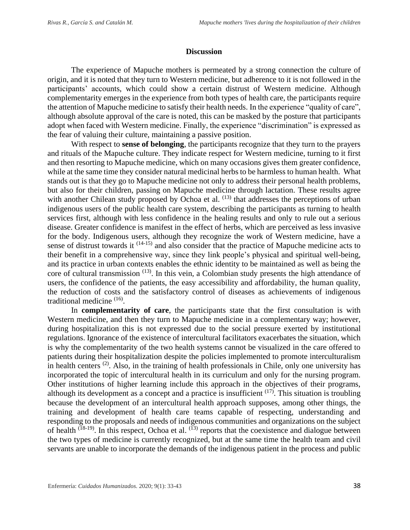### **Discussion**

The experience of Mapuche mothers is permeated by a strong connection the culture of origin, and it is noted that they turn to Western medicine, but adherence to it is not followed in the participants' accounts, which could show a certain distrust of Western medicine. Although complementarity emerges in the experience from both types of health care, the participants require the attention of Mapuche medicine to satisfy their health needs. In the experience "quality of care", although absolute approval of the care is noted, this can be masked by the posture that participants adopt when faced with Western medicine. Finally, the experience "discrimination" is expressed as the fear of valuing their culture, maintaining a passive position.

With respect to **sense of belonging**, the participants recognize that they turn to the prayers and rituals of the Mapuche culture. They indicate respect for Western medicine, turning to it first and then resorting to Mapuche medicine, which on many occasions gives them greater confidence, while at the same time they consider natural medicinal herbs to be harmless to human health. What stands out is that they go to Mapuche medicine not only to address their personal health problems, but also for their children, passing on Mapuche medicine through lactation. These results agree with another Chilean study proposed by Ochoa et al. <sup>(13)</sup> that addresses the perceptions of urban indigenous users of the public health care system, describing the participants as turning to health services first, although with less confidence in the healing results and only to rule out a serious disease. Greater confidence is manifest in the effect of herbs, which are perceived as less invasive for the body. Indigenous users, although they recognize the work of Western medicine, have a sense of distrust towards it <sup>(14-15)</sup> and also consider that the practice of Mapuche medicine acts to their benefit in a comprehensive way, since they link people's physical and spiritual well-being, and its practice in urban contexts enables the ethnic identity to be maintained as well as being the core of cultural transmission  $(13)$ . In this vein, a Colombian study presents the high attendance of users, the confidence of the patients, the easy accessibility and affordability, the human quality, the reduction of costs and the satisfactory control of diseases as achievements of indigenous traditional medicine<sup>(16)</sup>.

In **complementarity of care**, the participants state that the first consultation is with Western medicine, and then they turn to Mapuche medicine in a complementary way; however, during hospitalization this is not expressed due to the social pressure exerted by institutional regulations. Ignorance of the existence of intercultural facilitators exacerbates the situation, which is why the complementarity of the two health systems cannot be visualized in the care offered to patients during their hospitalization despite the policies implemented to promote interculturalism in health centers  $(2)$ . Also, in the training of health professionals in Chile, only one university has incorporated the topic of intercultural health in its curriculum and only for the nursing program. Other institutions of higher learning include this approach in the objectives of their programs, although its development as a concept and a practice is insufficient  $(17)$ . This situation is troubling because the development of an intercultural health approach supposes, among other things, the training and development of health care teams capable of respecting, understanding and responding to the proposals and needs of indigenous communities and organizations on the subject of health  $(\overline{18-19})$ . In this respect, Ochoa et al.  $(\overline{13})$  reports that the coexistence and dialogue between the two types of medicine is currently recognized, but at the same time the health team and civil servants are unable to incorporate the demands of the indigenous patient in the process and public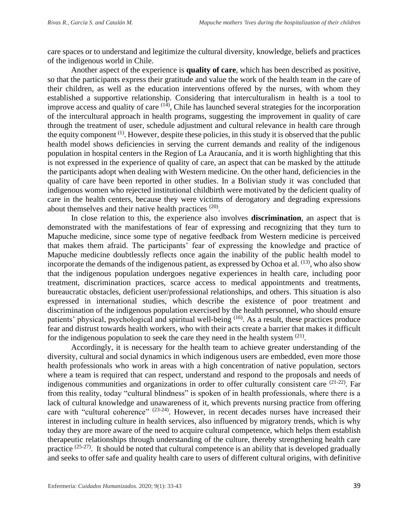care spaces or to understand and legitimize the cultural diversity, knowledge, beliefs and practices of the indigenous world in Chile.

Another aspect of the experience is **quality of care**, which has been described as positive, so that the participants express their gratitude and value the work of the health team in the care of their children, as well as the education interventions offered by the nurses, with whom they established a supportive relationship. Considering that interculturalism in health is a tool to improve access and quality of care  $(14)$ , Chile has launched several strategies for the incorporation of the intercultural approach in health programs, suggesting the improvement in quality of care through the treatment of user, schedule adjustment and cultural relevance in health care through the equity component<sup>(1)</sup>. However, despite these policies, in this study it is observed that the public health model shows deficiencies in serving the current demands and reality of the indigenous population in hospital centers in the Region of La Araucanía, and it is worth highlighting that this is not expressed in the experience of quality of care, an aspect that can be masked by the attitude the participants adopt when dealing with Western medicine. On the other hand, deficiencies in the quality of care have been reported in other studies. In a Bolivian study it was concluded that indigenous women who rejected institutional childbirth were motivated by the deficient quality of care in the health centers, because they were victims of derogatory and degrading expressions about themselves and their native health practices (20).

In close relation to this, the experience also involves **discrimination**, an aspect that is demonstrated with the manifestations of fear of expressing and recognizing that they turn to Mapuche medicine, since some type of negative feedback from Western medicine is perceived that makes them afraid. The participants' fear of expressing the knowledge and practice of Mapuche medicine doubtlessly reflects once again the inability of the public health model to incorporate the demands of the indigenous patient, as expressed by Ochoa et al.  $(13)$ , who also show that the indigenous population undergoes negative experiences in health care, including poor treatment, discrimination practices, scarce access to medical appointments and treatments, bureaucratic obstacles, deficient user/professional relationships, and others. This situation is also expressed in international studies, which describe the existence of poor treatment and discrimination of the indigenous population exercised by the health personnel, who should ensure patients' physical, psychological and spiritual well-being <sup>(16)</sup>. As a result, these practices produce fear and distrust towards health workers, who with their acts create a barrier that makes it difficult for the indigenous population to seek the care they need in the health system  $(21)$ .

Accordingly, it is necessary for the health team to achieve greater understanding of the diversity, cultural and social dynamics in which indigenous users are embedded, even more those health professionals who work in areas with a high concentration of native population, sectors where a team is required that can respect, understand and respond to the proposals and needs of indigenous communities and organizations in order to offer culturally consistent care <sup>(21-22)</sup>. Far from this reality, today "cultural blindness" is spoken of in health professionals, where there is a lack of cultural knowledge and unawareness of it, which prevents nursing practice from offering care with "cultural coherence" (23-24). However, in recent decades nurses have increased their interest in including culture in health services, also influenced by migratory trends, which is why today they are more aware of the need to acquire cultural competence, which helps them establish therapeutic relationships through understanding of the culture, thereby strengthening health care practice  $(25-27)$ . It should be noted that cultural competence is an ability that is developed gradually and seeks to offer safe and quality health care to users of different cultural origins, with definitive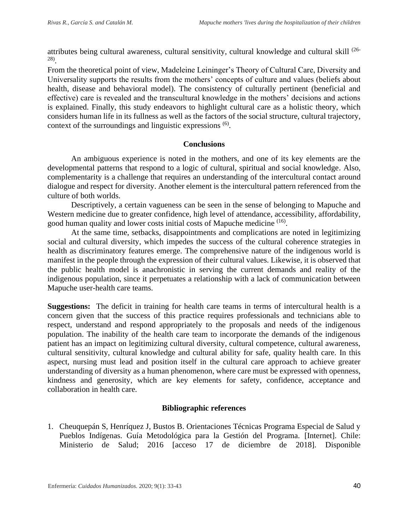attributes being cultural awareness, cultural sensitivity, cultural knowledge and cultural skill (26- 28) .

From the theoretical point of view, Madeleine Leininger's Theory of Cultural Care, Diversity and Universality supports the results from the mothers' concepts of culture and values (beliefs about health, disease and behavioral model). The consistency of culturally pertinent (beneficial and effective) care is revealed and the transcultural knowledge in the mothers' decisions and actions is explained. Finally, this study endeavors to highlight cultural care as a holistic theory, which considers human life in its fullness as well as the factors of the social structure, cultural trajectory, context of the surroundings and linguistic expressions <sup>(6)</sup>.

# **Conclusions**

An ambiguous experience is noted in the mothers, and one of its key elements are the developmental patterns that respond to a logic of cultural, spiritual and social knowledge. Also, complementarity is a challenge that requires an understanding of the intercultural contact around dialogue and respect for diversity. Another element is the intercultural pattern referenced from the culture of both worlds.

Descriptively, a certain vagueness can be seen in the sense of belonging to Mapuche and Western medicine due to greater confidence, high level of attendance, accessibility, affordability, good human quality and lower costs initial costs of Mapuche medicine <sup>(16)</sup>.

At the same time, setbacks, disappointments and complications are noted in legitimizing social and cultural diversity, which impedes the success of the cultural coherence strategies in health as discriminatory features emerge. The comprehensive nature of the indigenous world is manifest in the people through the expression of their cultural values. Likewise, it is observed that the public health model is anachronistic in serving the current demands and reality of the indigenous population, since it perpetuates a relationship with a lack of communication between Mapuche user-health care teams.

**Suggestions:** The deficit in training for health care teams in terms of intercultural health is a concern given that the success of this practice requires professionals and technicians able to respect, understand and respond appropriately to the proposals and needs of the indigenous population. The inability of the health care team to incorporate the demands of the indigenous patient has an impact on legitimizing cultural diversity, cultural competence, cultural awareness, cultural sensitivity, cultural knowledge and cultural ability for safe, quality health care. In this aspect, nursing must lead and position itself in the cultural care approach to achieve greater understanding of diversity as a human phenomenon, where care must be expressed with openness, kindness and generosity, which are key elements for safety, confidence, acceptance and collaboration in health care.

# **Bibliographic references**

1. Cheuquepán S, Henríquez J, Bustos B. Orientaciones Técnicas Programa Especial de Salud y Pueblos Indígenas. Guía Metodológica para la Gestión del Programa. [Internet]. Chile: Ministerio de Salud; 2016 [acceso 17 de diciembre de 2018]. Disponible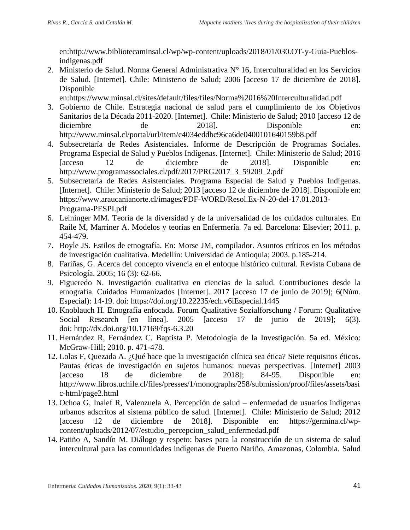en:http://www.bibliotecaminsal.cl/wp/wp-content/uploads/2018/01/030.OT-y-Guia-Pueblosindigenas.pdf

2. Ministerio de Salud. Norma General Administrativa N° 16, Interculturalidad en los Servicios de Salud. [Internet]. Chile: Ministerio de Salud; 2006 [acceso 17 de diciembre de 2018]. Disponible

en:https://www.minsal.cl/sites/default/files/files/Norma%2016%20Interculturalidad.pdf

- 3. Gobierno de Chile. Estrategia nacional de salud para el cumplimiento de los Objetivos Sanitarios de la Década 2011-2020. [Internet]. Chile: Ministerio de Salud; 2010 [acceso 12 de diciembre de 2018]. Disponible en: http://www.minsal.cl/portal/url/item/c4034eddbc96ca6de0400101640159b8.pdf
- 4. Subsecretaría de Redes Asistenciales. Informe de Descripción de Programas Sociales. Programa Especial de Salud y Pueblos Indígenas. [Internet]. Chile: Ministerio de Salud; 2016 [acceso 12 de diciembre de 2018]. Disponible en: http://www.programassociales.cl/pdf/2017/PRG2017\_3\_59209\_2.pdf
- 5. Subsecretaría de Redes Asistenciales. Programa Especial de Salud y Pueblos Indígenas. [Internet]. Chile: Ministerio de Salud; 2013 [acceso 12 de diciembre de 2018]. Disponible en: https://www.araucanianorte.cl/images/PDF-WORD/Resol.Ex-N-20-del-17.01.2013- Programa-PESPI.pdf
- 6. Leininger MM. Teoría de la diversidad y de la universalidad de los cuidados culturales. En Raile M, Marriner A. Modelos y teorías en Enfermería. 7a ed. Barcelona: Elsevier; 2011. p. 454-479.
- 7. Boyle JS. Estilos de etnografía. En: Morse JM, compilador. Asuntos críticos en los métodos de investigación cualitativa. Medellín: Universidad de Antioquia; 2003. p.185-214.
- 8. Fariñas, G. Acerca del concepto vivencia en el enfoque histórico cultural. Revista Cubana de Psicología. 2005; 16 (3): 62-66.
- 9. Figueredo N. Investigación cualitativa en ciencias de la salud. Contribuciones desde la etnografía. Cuidados Humanizados [Internet]. 2017 [acceso 17 de junio de 2019]; 6(Núm. Especial): 14-19. doi: <https://doi.org/10.22235/ech.v6iEspecial.1445>
- 10. Knoblauch H. Etnografía enfocada. Forum Qualitative Sozialforschung / Forum: Qualitative Social Research [en línea]. 2005 [acceso 17 de junio de 2019]; 6(3). doi: <http://dx.doi.org/10.17169/fqs-6.3.20>
- 11. Hernández R, Fernández C, Baptista P. Metodología de la Investigación. 5a ed. México: McGraw-Hill; 2010. p. 471-478.
- 12. Lolas F, Quezada A. ¿Qué hace que la investigación clínica sea ética? Siete requisitos éticos. Pautas éticas de investigación en sujetos humanos: nuevas perspectivas. [Internet] 2003 [acceso 18 de diciembre de 2018]; 84-95. Disponible en: http://www.libros.uchile.cl/files/presses/1/monographs/258/submission/proof/files/assets/basi c-html/page2.html
- 13. Ochoa G, Inalef R, Valenzuela A. Percepción de salud enfermedad de usuarios indígenas urbanos adscritos al sistema público de salud. [Internet]. Chile: Ministerio de Salud; 2012 [acceso 12 de diciembre de 2018]. Disponible en: https://germina.cl/wpcontent/uploads/2012/07/estudio\_percepcion\_salud\_enfermedad.pdf
- 14. Patiño A, Sandín M. Diálogo y respeto: bases para la construcción de un sistema de salud intercultural para las comunidades indígenas de Puerto Nariño, Amazonas, Colombia. Salud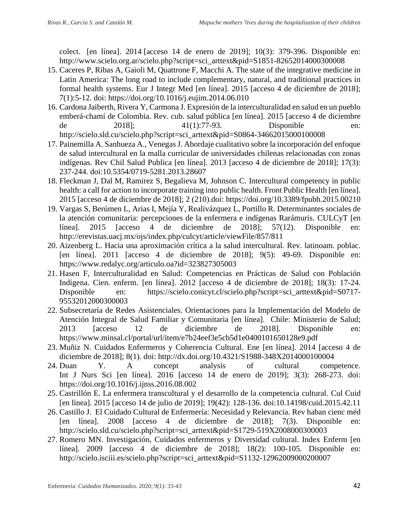colect. [en línea]. 2014 [acceso 14 de enero de 2019]; 10(3): 379-396. Disponible en: http://www.scielo.org.ar/scielo.php?script=sci\_arttext&pid=S1851-82652014000300008

- 15. Caceres P, Ribas A, Gaioli M, Quattrone F, Macchi A. The state of the integrative medicine in Latin America: The long road to include complementary, natural, and traditional practices in formal health systems. Eur J Integr Med [en línea]. 2015 [acceso 4 de diciembre de 2018]; 7(1):5-12. doi: https://doi.org/10.1016/j.eujim.2014.06.010
- 16. Cardona Jaiberth, Rivera Y, Carmona J. Expresión de la interculturalidad en salud en un pueblo emberá-chamí de Colombia. Rev. cub. salud pública [en línea]. 2015 [acceso 4 de diciembre de 2018]; 41(1):77-93. Disponible en: http://scielo.sld.cu/scielo.php?script=sci\_arttext&pid=S0864-34662015000100008
- 17. Painemilla A. Sanhueza A., Venegas J. Abordaje cualitativo sobre la incorporación del enfoque de salud intercultural en la malla curricular de universidades chilenas relacionadas con zonas indígenas. Rev Chil Salud Publica [en línea]. 2013 [acceso 4 de diciembre de 2018]; 17(3): 237-244. doi:10.5354/0719-5281.2013.28607
- 18. Fleckman J, Dal M, Ramirez S, Begalieva M, Johnson C. Intercultural competency in public health: a call for action to incorporate training into public health. Front Public Health [en línea]. 2015 [acceso 4 de diciembre de 2018]; 2 (210).doi: https://doi.org/10.3389/fpubh.2015.00210
- 19. Vargas S, Berúmen L, Arias I, Mejía Y, Realivázquez L, Portillo R. Determinantes sociales de la atención comunitaria: percepciones de la enfermera e indígenas Rarámuris. CULCyT [en línea]. 2015 [acceso 4 de diciembre de 2018]; 57(12). Disponible en: http://erevistas.uacj.mx/ojs/index.php/culcyt/article/viewFile/857/811
- 20. Aizenberg L. Hacia una aproximación crítica a la salud intercultural. Rev. latinoam. poblac. [en línea]. 2011 [acceso 4 de diciembre de 2018]; 9(5): 49-69. Disponible en: https://www.redalyc.org/articulo.oa?id=323827305003
- 21. Hasen F, Interculturalidad en Salud: Competencias en Prácticas de Salud con Población Indígena. Cien. enferm. [en línea]. 2012 [acceso 4 de diciembre de 2018]; 18(3): 17-24. Disponible en: https://scielo.conicyt.cl/scielo.php?script=sci\_arttext&pid=S0717- 95532012000300003
- 22. Subsecretaría de Redes Asistenciales. Orientaciones para la Implementación del Modelo de Atención Integral de Salud Familiar y Comunitaria [en línea]. Chile: Ministerio de Salud; 2013 [acceso 12 de diciembre de 2018]. Disponible en: https://www.minsal.cl/portal/url/item/e7b24eef3e5cb5d1e0400101650128e9.pdf
- 23. Muñiz N. Cuidados Enfermeros y Coherencia Cultural. Ene [en línea]. 2014 [acceso 4 de diciembre de 2018]; 8(1). doi: http://dx.doi.org/10.4321/S1988-348X2014000100004
- 24. Duan Y. A concept analysis of cultural competence. Int J Nurs Sci [en línea]. 2016 [acceso 14 de enero de 2019]; 3(3): 268-273. doi: https://doi.org/10.1016/j.ijnss.2016.08.002
- 25. Castrillón E. La enfermera transcultural y el desarrollo de la competencia cultural. Cul Cuid [en línea]. 2015 [acceso 14 de julio de 2019]; 19(42): 128-136. doi:10.14198/cuid.2015.42.11
- 26. Castillo J. El Cuidado Cultural de Enfermería: Necesidad y Relevancia. Rev haban cienc méd [en línea]. 2008 [acceso 4 de diciembre de 2018]; 7(3). Disponible en: http://scielo.sld.cu/scielo.php?script=sci\_arttext&pid=S1729-519X2008000300003
- 27. Romero MN. Investigación, Cuidados enfermeros y Diversidad cultural. Index Enferm [en línea]. 2009 [acceso 4 de diciembre de 2018]; 18(2): 100-105. Disponible en: http://scielo.isciii.es/scielo.php?script=sci\_arttext&pid=S1132-12962009000200007